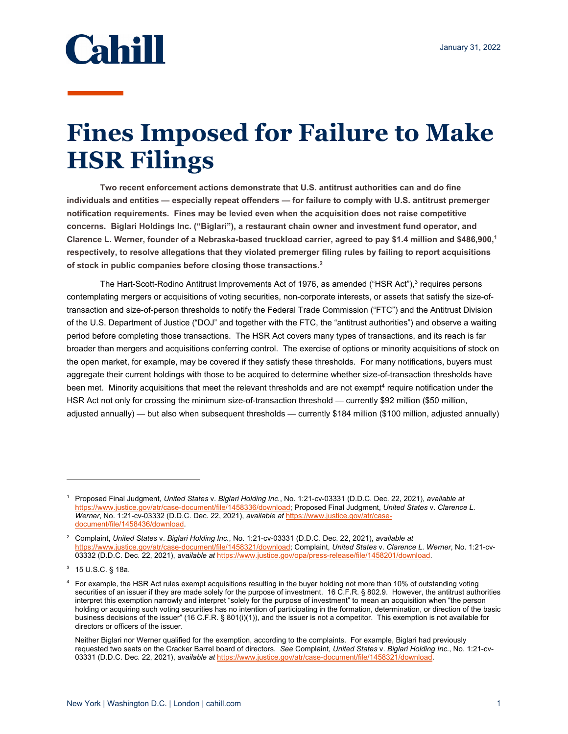

## **Fines Imposed for Failure to Make HSR Filings**

**Two recent enforcement actions demonstrate that U.S. antitrust authorities can and do fine individuals and entities — especially repeat offenders — for failure to comply with U.S. antitrust premerger notification requirements. Fines may be levied even when the acquisition does not raise competitive concerns. Biglari Holdings Inc. ("Biglari"), a restaurant chain owner and investment fund operator, and Clarence L. Werner, founder of a Nebraska-based truckload carrier, agreed to pay \$1.4 million and \$486,900,1 respectively, to resolve allegations that they violated premerger filing rules by failing to report acquisitions of stock in public companies before closing those transactions.2**

The Hart-Scott-Rodino Antitrust Improvements Act of 1976, as amended ("HSR Act"),<sup>3</sup> requires persons contemplating mergers or acquisitions of voting securities, non-corporate interests, or assets that satisfy the size-oftransaction and size-of-person thresholds to notify the Federal Trade Commission ("FTC") and the Antitrust Division of the U.S. Department of Justice ("DOJ" and together with the FTC, the "antitrust authorities") and observe a waiting period before completing those transactions. The HSR Act covers many types of transactions, and its reach is far broader than mergers and acquisitions conferring control. The exercise of options or minority acquisitions of stock on the open market, for example, may be covered if they satisfy these thresholds. For many notifications, buyers must aggregate their current holdings with those to be acquired to determine whether size-of-transaction thresholds have been met. Minority acquisitions that meet the relevant thresholds and are not exempt<sup>4</sup> require notification under the HSR Act not only for crossing the minimum size-of-transaction threshold — currently \$92 million (\$50 million, adjusted annually) — but also when subsequent thresholds — currently \$184 million (\$100 million, adjusted annually)

<sup>1</sup> Proposed Final Judgment, *United States* v. *Biglari Holding Inc.*, No. 1:21-cv-03331 (D.D.C. Dec. 22, 2021), *available at*  https://www.justice.gov/atr/case-document/file/1458336/download; Proposed Final Judgment, *United States* v. *Clarence L. Werner*, No. 1:21-cv-03332 (D.D.C. Dec. 22, 2021), *available at* https://www.justice.gov/atr/casedocument/file/1458436/download.

<sup>2</sup> Complaint, *United States* v. *Biglari Holding Inc.*, No. 1:21-cv-03331 (D.D.C. Dec. 22, 2021), *available at*  https://www.justice.gov/atr/case-document/file/1458321/download; Complaint, *United States* v. *Clarence L. Werner*, No. 1:21-cv-03332 (D.D.C. Dec. 22, 2021), *available at* https://www.justice.gov/opa/press-release/file/1458201/download.

<sup>3</sup> 15 U.S.C. § 18a.

<sup>4</sup> For example, the HSR Act rules exempt acquisitions resulting in the buyer holding not more than 10% of outstanding voting securities of an issuer if they are made solely for the purpose of investment. 16 C.F.R. § 802.9. However, the antitrust authorities interpret this exemption narrowly and interpret "solely for the purpose of investment" to mean an acquisition when "the person holding or acquiring such voting securities has no intention of participating in the formation, determination, or direction of the basic business decisions of the issuer" (16 C.F.R. § 801(i)(1)), and the issuer is not a competitor. This exemption is not available for directors or officers of the issuer.

Neither Biglari nor Werner qualified for the exemption, according to the complaints. For example, Biglari had previously requested two seats on the Cracker Barrel board of directors. *See* Complaint, *United States* v. *Biglari Holding Inc.*, No. 1:21-cv-03331 (D.D.C. Dec. 22, 2021), *available at* https://www.justice.gov/atr/case-document/file/1458321/download.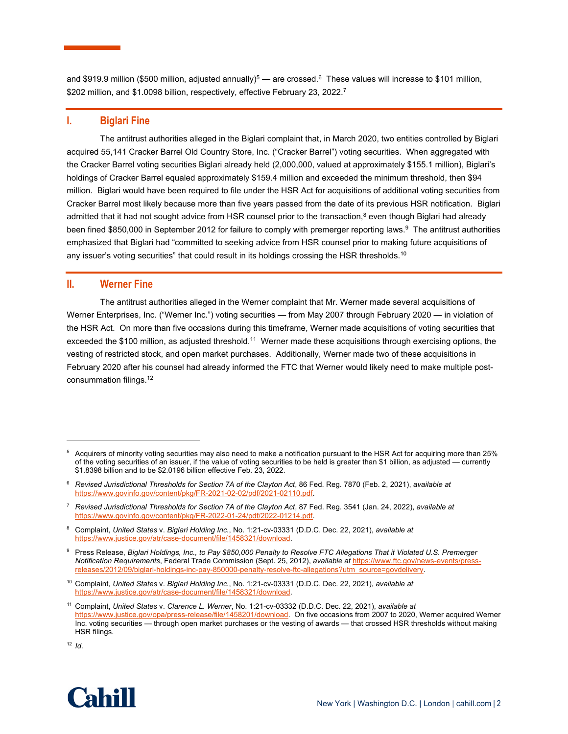and \$919.9 million (\$500 million, adjusted annually)<sup>5</sup> — are crossed.<sup>6</sup> These values will increase to \$101 million, \$202 million, and \$1.0098 billion, respectively, effective February 23, 2022.<sup>7</sup>

## **I. Biglari Fine**

The antitrust authorities alleged in the Biglari complaint that, in March 2020, two entities controlled by Biglari acquired 55,141 Cracker Barrel Old Country Store, Inc. ("Cracker Barrel") voting securities. When aggregated with the Cracker Barrel voting securities Biglari already held (2,000,000, valued at approximately \$155.1 million), Biglari's holdings of Cracker Barrel equaled approximately \$159.4 million and exceeded the minimum threshold, then \$94 million. Biglari would have been required to file under the HSR Act for acquisitions of additional voting securities from Cracker Barrel most likely because more than five years passed from the date of its previous HSR notification. Biglari admitted that it had not sought advice from HSR counsel prior to the transaction, $8$  even though Biglari had already been fined \$850,000 in September 2012 for failure to comply with premerger reporting laws.<sup>9</sup> The antitrust authorities emphasized that Biglari had "committed to seeking advice from HSR counsel prior to making future acquisitions of any issuer's voting securities" that could result in its holdings crossing the HSR thresholds.<sup>10</sup>

## **II. Werner Fine**

The antitrust authorities alleged in the Werner complaint that Mr. Werner made several acquisitions of Werner Enterprises, Inc. ("Werner Inc.") voting securities — from May 2007 through February 2020 — in violation of the HSR Act. On more than five occasions during this timeframe, Werner made acquisitions of voting securities that exceeded the \$100 million, as adjusted threshold.11 Werner made these acquisitions through exercising options, the vesting of restricted stock, and open market purchases. Additionally, Werner made two of these acquisitions in February 2020 after his counsel had already informed the FTC that Werner would likely need to make multiple postconsummation filings.12

8 Complaint, *United States* v. *Biglari Holding Inc.*, No. 1:21-cv-03331 (D.D.C. Dec. 22, 2021), *available at*  https://www.justice.gov/atr/case-document/file/1458321/download.

<sup>12</sup> *Id.*



<sup>5</sup> Acquirers of minority voting securities may also need to make a notification pursuant to the HSR Act for acquiring more than 25% of the voting securities of an issuer, if the value of voting securities to be held is greater than \$1 billion, as adjusted — currently \$1.8398 billion and to be \$2.0196 billion effective Feb. 23, 2022.

<sup>6</sup> *Revised Jurisdictional Thresholds for Section 7A of the Clayton Act*, 86 Fed. Reg. 7870 (Feb. 2, 2021), *available at* https://www.govinfo.gov/content/pkg/FR-2021-02-02/pdf/2021-02110.pdf.

<sup>7</sup> *Revised Jurisdictional Thresholds for Section 7A of the Clayton Act*, 87 Fed. Reg. 3541 (Jan. 24, 2022), *available at* https://www.govinfo.gov/content/pkg/FR-2022-01-24/pdf/2022-01214.pdf.

<sup>9</sup> Press Release, *Biglari Holdings, Inc., to Pay \$850,000 Penalty to Resolve FTC Allegations That it Violated U.S. Premerger Notification Requirements*, Federal Trade Commission (Sept. 25, 2012), *available at* https://www.ftc.gov/news-events/pressreleases/2012/09/biglari-holdings-inc-pay-850000-penalty-resolve-ftc-allegations?utm\_source=govdelivery.

<sup>10</sup> Complaint, *United States* v. *Biglari Holding Inc.*, No. 1:21-cv-03331 (D.D.C. Dec. 22, 2021), *available at*  https://www.justice.gov/atr/case-document/file/1458321/download.

<sup>11</sup> Complaint, *United States* v. *Clarence L. Werner*, No. 1:21-cv-03332 (D.D.C. Dec. 22, 2021), *available at*  https://www.justice.gov/opa/press-release/file/1458201/download. On five occasions from 2007 to 2020, Werner acquired Werner Inc. voting securities — through open market purchases or the vesting of awards — that crossed HSR thresholds without making HSR filings.